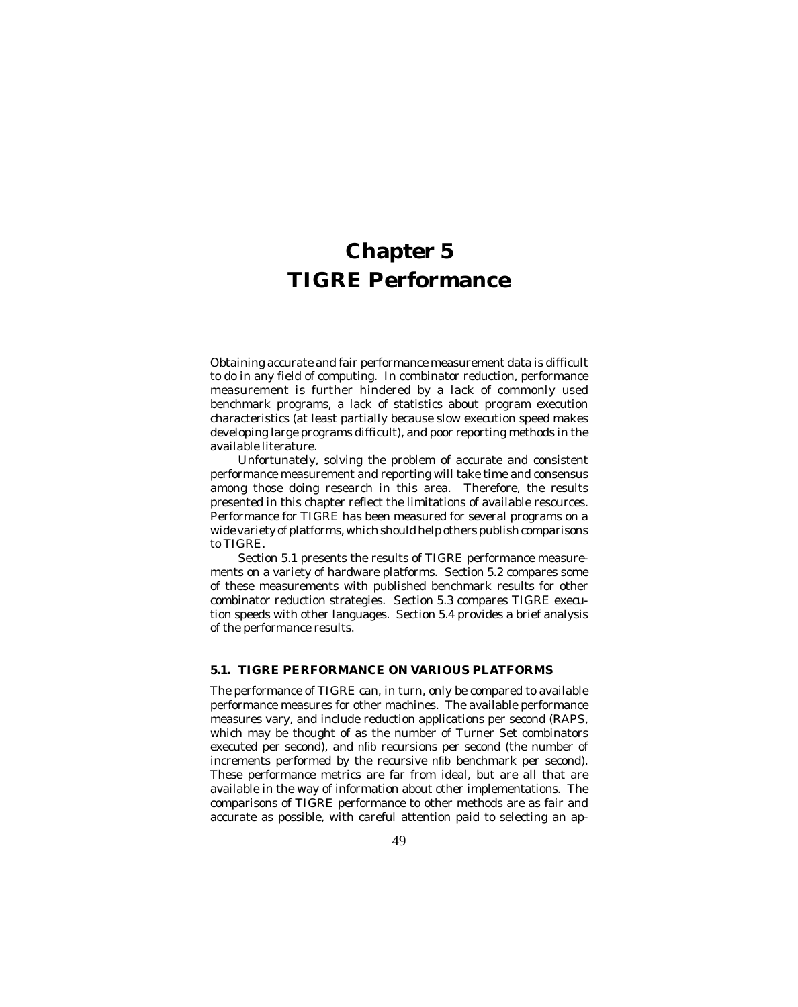Obtaining accurate and fair performance measurement data is difficult to do in any field of computing. In combinator reduction, performance measurement is further hindered by a lack of commonly used benchmark programs, a lack of statistics about program execution characteristics (at least partially because slow execution speed makes developing large programs difficult), and poor reporting methods in the available literature.

Unfortunately, solving the problem of accurate and consistent performance measurement and reporting will take time and consensus among those doing research in this area. Therefore, the results presented in this chapter reflect the limitations of available resources. Performance for TIGRE has been measured for several programs on a wide variety of platforms, which should help others publish comparisons to TIGRE.

Section 5.1 presents the results of TIGRE performance measurements on a variety of hardware platforms. Section 5.2 compares some of these measurements with published benchmark results for other combinator reduction strategies. Section 5.3 compares TIGRE execution speeds with other languages. Section 5.4 provides a brief analysis of the performance results.

# **5.1. TIGRE PERFORMANCE ON VARIOUS PLATFORMS**

The performance of TIGRE can, in turn, only be compared to available performance measures for other machines. The available performance measures vary, and include reduction applications per second (RAPS, which may be thought of as the number of Turner Set combinators executed per second), and nfib recursions per second (the number of increments performed by the recursive nfib benchmark per second). These performance metrics are far from ideal, but are all that are available in the way of information about other implementations. The comparisons of TIGRE performance to other methods are as fair and accurate as possible, with careful attention paid to selecting an ap-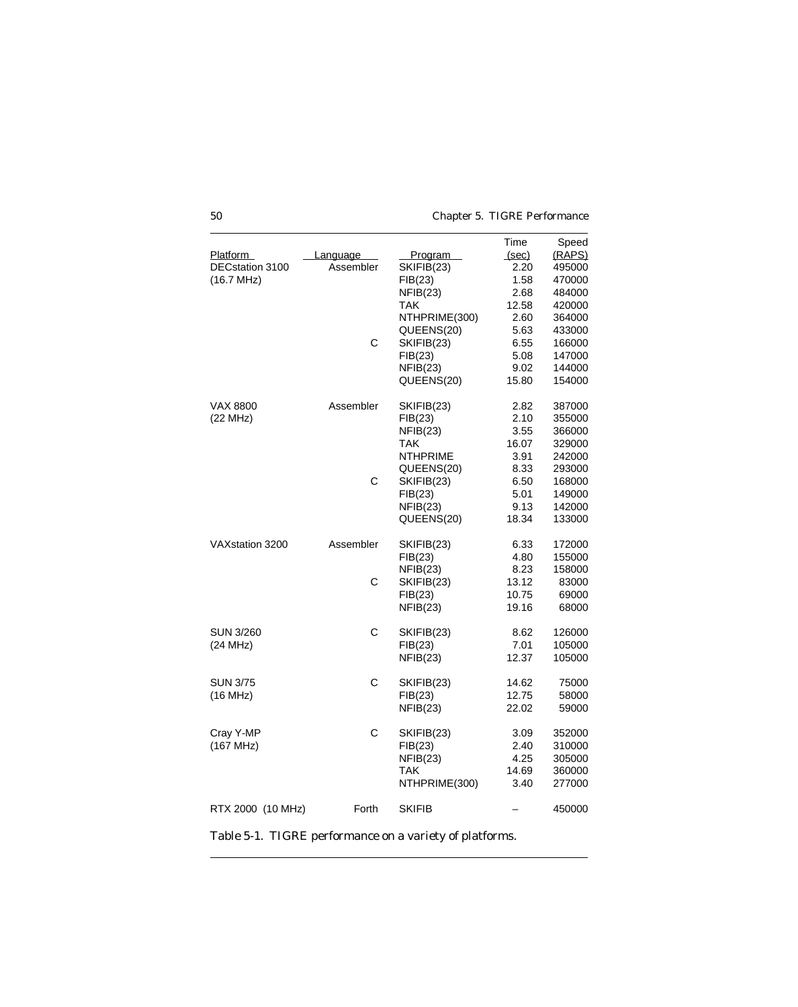|                   |           |                 | Time  | Speed  |
|-------------------|-----------|-----------------|-------|--------|
| <b>Platform</b>   | Language  | <b>Program</b>  | (sec) | (RAPS) |
| DECstation 3100   | Assembler | SKIFIB(23)      | 2.20  | 495000 |
| (16.7 MHz)        |           | FIB(23)         | 1.58  | 470000 |
|                   |           | NFIB(23)        | 2.68  | 484000 |
|                   |           | TAK             | 12.58 | 420000 |
|                   |           | NTHPRIME(300)   | 2.60  | 364000 |
|                   |           | QUEENS(20)      | 5.63  | 433000 |
|                   | C         | SKIFIB(23)      | 6.55  | 166000 |
|                   |           | FIB(23)         | 5.08  | 147000 |
|                   |           | NFIB(23)        | 9.02  | 144000 |
|                   |           | QUEENS(20)      | 15.80 | 154000 |
| VAX 8800          | Assembler | SKIFIB(23)      | 2.82  | 387000 |
| (22 MHz)          |           | FIB(23)         | 2.10  | 355000 |
|                   |           | NFIB(23)        | 3.55  | 366000 |
|                   |           | TAK             | 16.07 | 329000 |
|                   |           | <b>NTHPRIME</b> | 3.91  | 242000 |
|                   |           | QUEENS(20)      | 8.33  | 293000 |
|                   | C         | SKIFIB(23)      | 6.50  | 168000 |
|                   |           | FIB(23)         | 5.01  | 149000 |
|                   |           | NFIB(23)        | 9.13  | 142000 |
|                   |           | QUEENS(20)      | 18.34 | 133000 |
| VAXstation 3200   | Assembler | SKIFIB(23)      | 6.33  | 172000 |
|                   |           | FIB(23)         | 4.80  | 155000 |
|                   |           | NFIB(23)        | 8.23  | 158000 |
|                   | C         | SKIFIB(23)      | 13.12 | 83000  |
|                   |           | FIB(23)         | 10.75 | 69000  |
|                   |           | NFIB(23)        | 19.16 | 68000  |
| <b>SUN 3/260</b>  | C         | SKIFIB(23)      | 8.62  | 126000 |
| (24 MHz)          |           | FIB(23)         | 7.01  | 105000 |
|                   |           | NFIB(23)        | 12.37 | 105000 |
| <b>SUN 3/75</b>   | C         | SKIFIB(23)      | 14.62 | 75000  |
| (16 MHz)          |           | FIB(23)         | 12.75 | 58000  |
|                   |           | NFIB(23)        | 22.02 | 59000  |
| Cray Y-MP         | C         | SKIFIB(23)      | 3.09  | 352000 |
| (167 MHz)         |           | FIB(23)         | 2.40  | 310000 |
|                   |           | NFIB(23)        | 4.25  | 305000 |
|                   |           | TAK             | 14.69 | 360000 |
|                   |           | NTHPRIME(300)   | 3.40  | 277000 |
| RTX 2000 (10 MHz) | Forth     | <b>SKIFIB</b>   |       | 450000 |

Table 5-1. TIGRE performance on a variety of platforms.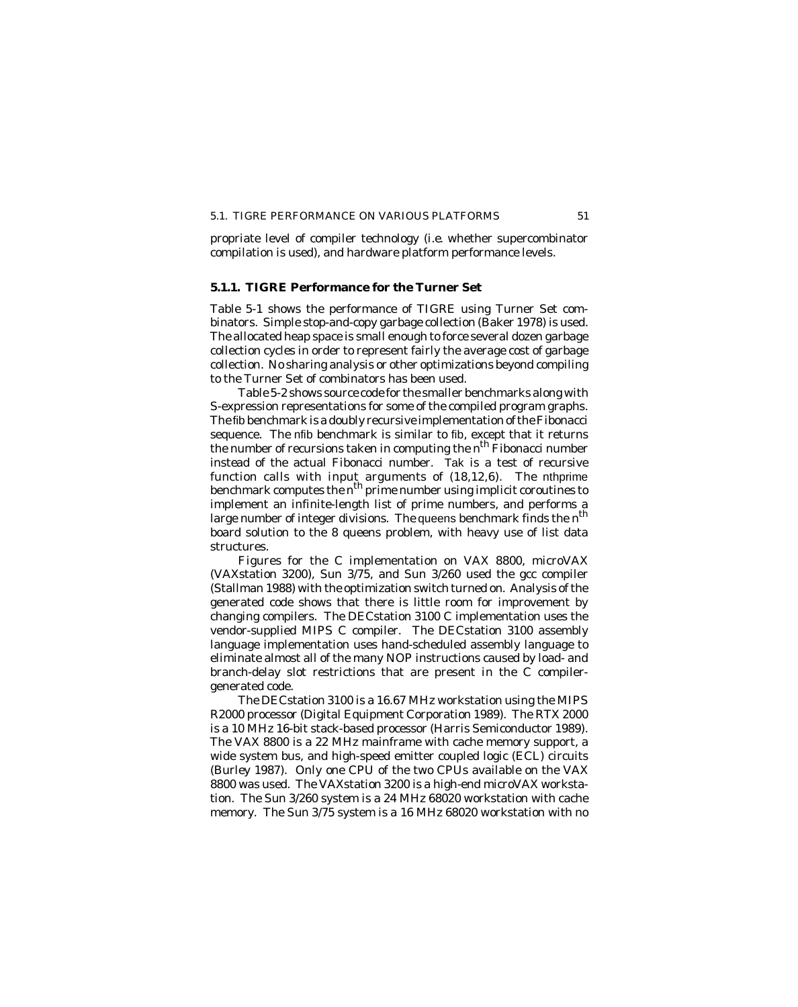### 5.1. TIGRE PERFORMANCE ON VARIOUS PLATFORMS 51

propriate level of compiler technology (*i.e.* whether supercombinator compilation is used), and hardware platform performance levels.

# **5.1.1. TIGRE Performance for the Turner Set**

Table 5-1 shows the performance of TIGRE using Turner Set combinators. Simple stop-and-copy garbage collection (Baker 1978) is used. The allocated heap space is small enough to force several dozen garbage collection cycles in order to represent fairly the average cost of garbage collection. No sharing analysis or other optimizations beyond compiling to the Turner Set of combinators has been used.

Table 5-2 shows source code for the smaller benchmarks along with S-expression representations for some of the compiled program graphs. The fib benchmark is a doubly recursive implementation of the Fibonacci sequence. The nfib benchmark is similar to fib, except that it returns the number of recursions taken in computing the  $n^{\text{th}}$  Fibonacci number instead of the actual Fibonacci number. Tak is a test of recursive function calls with input arguments of (18,12,6). The nthprime benchmark computes the *n*th prime number using implicit coroutines to implement an infinite-length list of prime numbers, and performs a large number of integer divisions. The queens benchmark finds the  $n^{\text{th}}$ board solution to the 8 queens problem, with heavy use of list data structures.

Figures for the C implementation on VAX 8800, microVAX (VAXstation 3200), Sun 3/75, and Sun 3/260 used the gcc compiler (Stallman 1988) with the optimization switch turned on. Analysis of the generated code shows that there is little room for improvement by changing compilers. The DECstation 3100 C implementation uses the vendor-supplied MIPS C compiler. The DECstation 3100 assembly language implementation uses hand-scheduled assembly language to eliminate almost all of the many NOP instructions caused by load- and branch-delay slot restrictions that are present in the C compilergenerated code.

The DECstation 3100 is a 16.67 MHz workstation using the MIPS R2000 processor (Digital Equipment Corporation 1989). The RTX 2000 is a 10 MHz 16-bit stack-based processor (Harris Semiconductor 1989). The VAX 8800 is a 22 MHz mainframe with cache memory support, a wide system bus, and high-speed emitter coupled logic (ECL) circuits (Burley 1987). Only one CPU of the two CPUs available on the VAX 8800 was used. The VAXstation 3200 is a high-end microVAX workstation. The Sun 3/260 system is a 24 MHz 68020 workstation with cache memory. The Sun 3/75 system is a 16 MHz 68020 workstation with no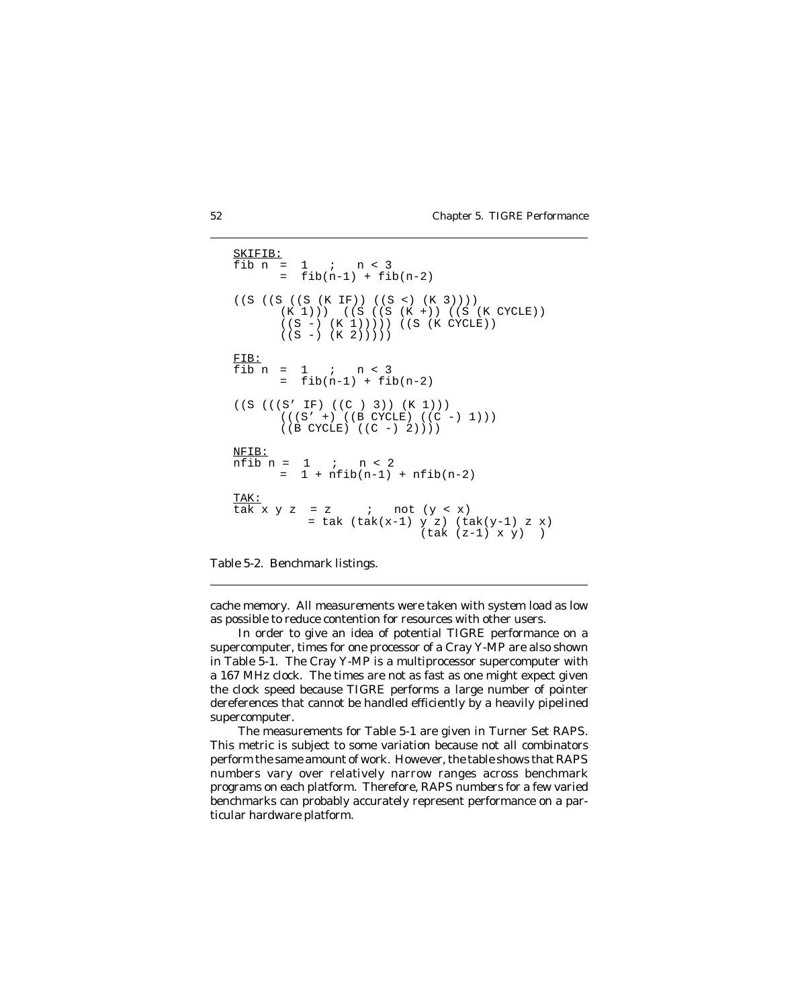```
SKIFIB:<br>fib n =
        1 ; n < 3= fib(n-1) + fib(n-2)((S ((S ((S (K IF)) ((S <) (K 3))))
       (K 1)) ((S ((S (K +)) ((S (K CYCLE))
      ((S -) (K 1)))) ((S (K CYCLE))
      ((S -) (K 2)))))FIB:
fib n = 1 ; n < 3= fib(n-1) + fib(n-2)((S (((S' IF) ((C ) 3)) (K 1)))
       ((S' +) ((B CYCLE) ((C -) 1)))((B CYCLE) ((C -) 2)))NFIB:
nfib n = 1 ; n < 2
       = 1 + nfib(n-1) + nfib(n-2)<u>TAK:</u><br>tak x y z
         = z ; not (y < x)= tak (tak(x-1) y z) (tak(y-1) z x)
                          (tak (z-1) x y) )
```
Table 5-2. Benchmark listings.

cache memory. All measurements were taken with system load as low as possible to reduce contention for resources with other users.

In order to give an idea of potential TIGRE performance on a supercomputer, times for one processor of a Cray Y-MP are also shown in Table 5-1. The Cray Y-MP is a multiprocessor supercomputer with a 167 MHz clock. The times are not as fast as one might expect given the clock speed because TIGRE performs a large number of pointer dereferences that cannot be handled efficiently by a heavily pipelined supercomputer.

The measurements for Table 5-1 are given in Turner Set RAPS. This metric is subject to some variation because not all combinators perform the same amount of work. However, the table shows that RAPS numbers vary over relatively narrow ranges across benchmark programs on each platform. Therefore, RAPS numbers for a few varied benchmarks can probably accurately represent performance on a particular hardware platform.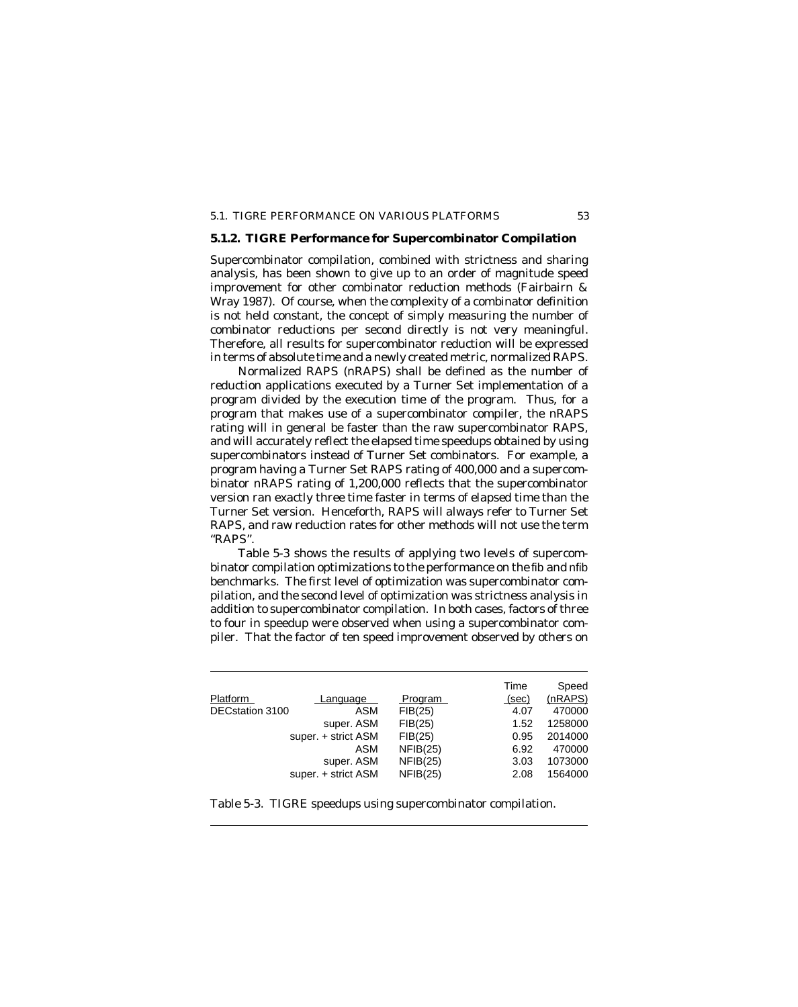### 5.1. TIGRE PERFORMANCE ON VARIOUS PLATFORMS 53

# **5.1.2. TIGRE Performance for Supercombinator Compilation**

Supercombinator compilation, combined with strictness and sharing analysis, has been shown to give up to an order of magnitude speed improvement for other combinator reduction methods (Fairbairn & Wray 1987). Of course, when the complexity of a combinator definition is not held constant, the concept of simply measuring the number of combinator reductions per second directly is not very meaningful. Therefore, all results for supercombinator reduction will be expressed in terms of absolute time and a newly created metric, normalized RAPS.

Normalized RAPS (nRAPS) shall be defined as the number of reduction applications executed by a Turner Set implementation of a program divided by the execution time of the program. Thus, for a program that makes use of a supercombinator compiler, the nRAPS rating will in general be faster than the raw supercombinator RAPS, and will accurately reflect the elapsed time speedups obtained by using supercombinators instead of Turner Set combinators. For example, a program having a Turner Set RAPS rating of 400,000 and a supercombinator nRAPS rating of 1,200,000 reflects that the supercombinator version ran exactly three time faster in terms of elapsed time than the Turner Set version. Henceforth, RAPS will always refer to Turner Set RAPS, and raw reduction rates for other methods will not use the term "RAPS".

Table 5-3 shows the results of applying two levels of supercombinator compilation optimizations to the performance on the fib and nfib benchmarks. The first level of optimization was supercombinator compilation, and the second level of optimization was strictness analysis in addition to supercombinator compilation. In both cases, factors of three to four in speedup were observed when using a supercombinator compiler. That the factor of ten speed improvement observed by others on

|                 |                     |                | Time  | Speed   |
|-----------------|---------------------|----------------|-------|---------|
| <b>Platform</b> | Language            | <b>Program</b> | (sec) | (nRAPS) |
| DECstation 3100 | ASM                 | FIB(25)        | 4.07  | 470000  |
|                 | super. ASM          | FIB(25)        | 1.52  | 1258000 |
|                 | super. + strict ASM | FIB(25)        | 0.95  | 2014000 |
|                 | ASM                 | NFIB(25)       | 6.92  | 470000  |
|                 | super. ASM          | NFIB(25)       | 3.03  | 1073000 |
|                 | super. + strict ASM | NFIB(25)       | 2.08  | 1564000 |

Table 5-3. TIGRE speedups using supercombinator compilation.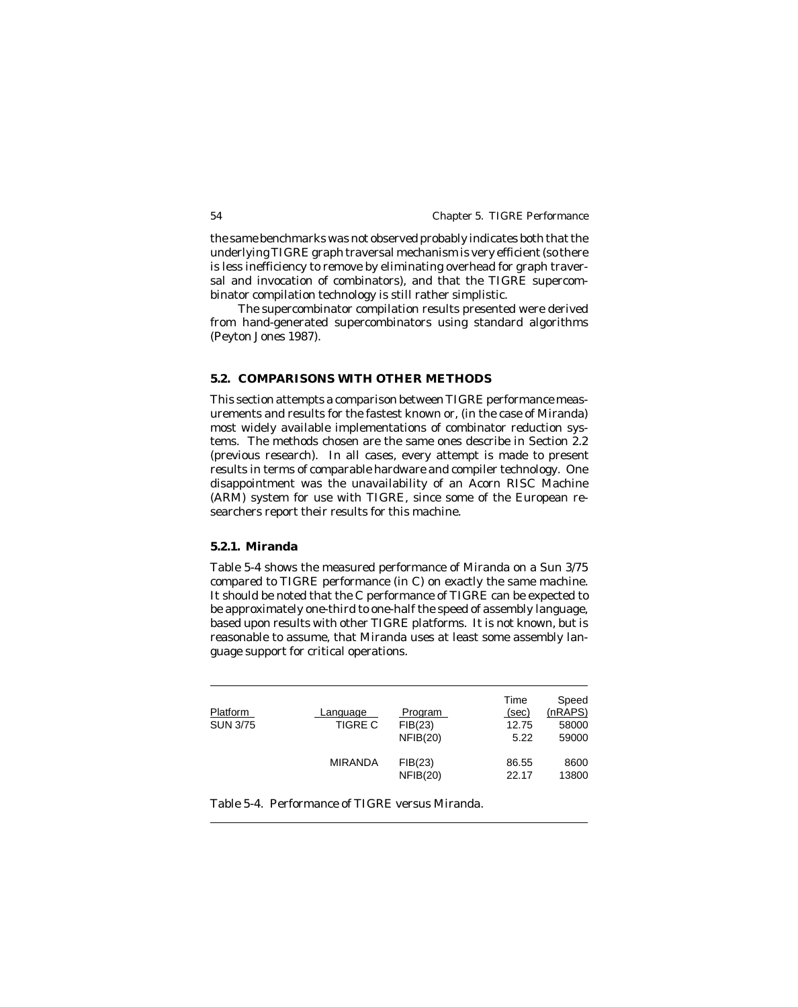the same benchmarks was not observed probably indicates both that the underlying TIGRE graph traversal mechanism is very efficient (so there is less inefficiency to remove by eliminating overhead for graph traversal and invocation of combinators), and that the TIGRE supercombinator compilation technology is still rather simplistic.

The supercombinator compilation results presented were derived from hand-generated supercombinators using standard algorithms (Peyton Jones 1987).

# **5.2. COMPARISONS WITH OTHER METHODS**

This section attempts a comparison between TIGRE performance measurements and results for the fastest known or, (in the case of Miranda) most widely available implementations of combinator reduction systems. The methods chosen are the same ones describe in Section 2.2 (previous research). In all cases, every attempt is made to present results in terms of comparable hardware and compiler technology. One disappointment was the unavailability of an Acorn RISC Machine (ARM) system for use with TIGRE, since some of the European researchers report their results for this machine.

### **5.2.1. Miranda**

Table 5-4 shows the measured performance of Miranda on a Sun 3/75 compared to TIGRE performance (in C) on exactly the same machine. It should be noted that the C performance of TIGRE can be expected to be approximately one-third to one-half the speed of assembly language, based upon results with other TIGRE platforms. It is not known, but is reasonable to assume, that Miranda uses at least some assembly language support for critical operations.

| Platform<br><b>SUN 3/75</b> | Language<br><b>TIGRE C</b> | <b>Program</b><br>FIB(23)<br>NFIB(20) | Time<br>(sec)<br>12.75<br>5.22 | Speed<br>(nRAPS)<br>58000<br>59000 |
|-----------------------------|----------------------------|---------------------------------------|--------------------------------|------------------------------------|
|                             | <b>MIRANDA</b>             | FIB(23)<br>NFIB(20)                   | 86.55<br>22.17                 | 8600<br>13800                      |

Table 5-4. Performance of TIGRE versus Miranda.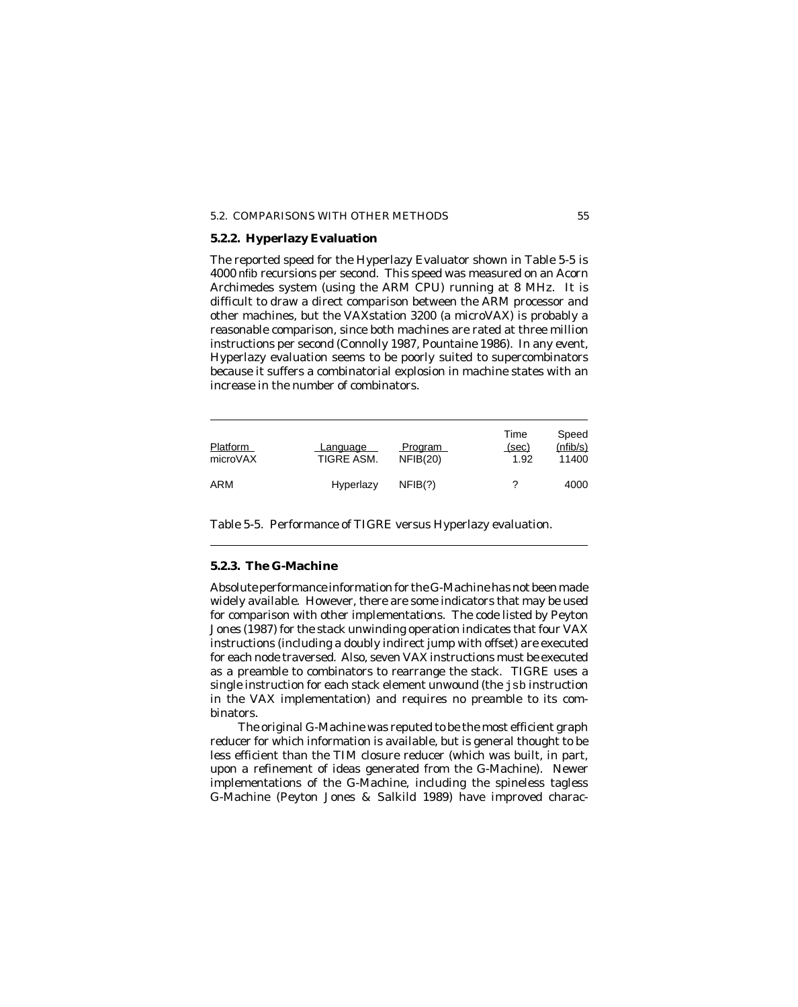# 5.2. COMPARISONS WITH OTHER METHODS 55

# **5.2.2. Hyperlazy Evaluation**

The reported speed for the Hyperlazy Evaluator shown in Table 5-5 is 4000 nfib recursions per second. This speed was measured on an Acorn Archimedes system (using the ARM CPU) running at 8 MHz. It is difficult to draw a direct comparison between the ARM processor and other machines, but the VAXstation 3200 (a microVAX) is probably a reasonable comparison, since both machines are rated at three million instructions per second (Connolly 1987, Pountaine 1986). In any event, Hyperlazy evaluation seems to be poorly suited to supercombinators because it suffers a combinatorial explosion in machine states with an increase in the number of combinators.

| Platform<br>microVAX | Language<br>TIGRE ASM. | <b>Program</b><br>NFIB(20) | Time<br>(sec)<br>1.92 | Speed<br>(nfib/s)<br>11400 |
|----------------------|------------------------|----------------------------|-----------------------|----------------------------|
| ARM                  | Hyperlazy              | NFIB(?)                    |                       | 4000                       |

Table 5-5. Performance of TIGRE versus Hyperlazy evaluation.

# **5.2.3. The G-Machine**

Absolute performance information for the G-Machine has not been made widely available. However, there are some indicators that may be used for comparison with other implementations. The code listed by Peyton Jones (1987) for the stack unwinding operation indicates that four VAX instructions (including a doubly indirect jump with offset) are executed for each node traversed. Also, seven VAX instructions must be executed as a preamble to combinators to rearrange the stack. TIGRE uses a single instruction for each stack element unwound (the jsb instruction in the VAX implementation) and requires no preamble to its combinators.

The original G-Machine was reputed to be the most efficient graph reducer for which information is available, but is general thought to be less efficient than the TIM closure reducer (which was built, in part, upon a refinement of ideas generated from the G-Machine). Newer implementations of the G-Machine, including the spineless tagless G-Machine (Peyton Jones & Salkild 1989) have improved charac-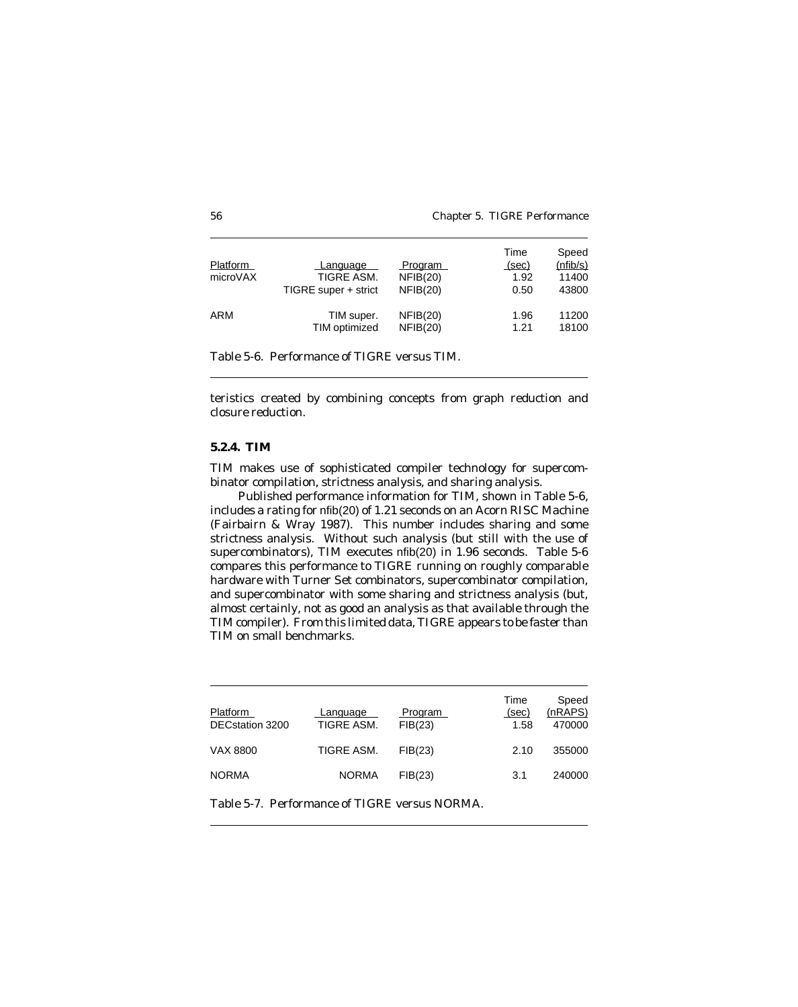| Platform<br>microVAX | Language<br>TIGRE ASM.<br>TIGRE super + strict | <b>Program</b><br>NFIB(20)<br>NFIB(20) | Time<br>(sec)<br>1.92<br>0.50 | Speed<br>(nfib/s)<br>11400<br>43800 |
|----------------------|------------------------------------------------|----------------------------------------|-------------------------------|-------------------------------------|
| ARM                  | TIM super.                                     | NFIB(20)                               | 1.96                          | 11200                               |
|                      | TIM optimized                                  | NFIB(20)                               | 1.21                          | 18100                               |

Table 5-6. Performance of TIGRE versus TIM.

teristics created by combining concepts from graph reduction and closure reduction.

# **5.2.4. TIM**

TIM makes use of sophisticated compiler technology for supercombinator compilation, strictness analysis, and sharing analysis.

Published performance information for TIM, shown in Table 5-6, includes a rating for nfib(20) of 1.21 seconds on an Acorn RISC Machine (Fairbairn & Wray 1987). This number includes sharing and some strictness analysis. Without such analysis (but still with the use of supercombinators), TIM executes nfib(20) in 1.96 seconds. Table 5-6 compares this performance to TIGRE running on roughly comparable hardware with Turner Set combinators, supercombinator compilation, and supercombinator with some sharing and strictness analysis (but, almost certainly, not as good an analysis as that available through the TIM compiler). From this limited data, TIGRE appears to be faster than TIM on small benchmarks.

| <b>Platform</b><br>DECstation 3200 | Language<br>TIGRE ASM. | <b>Program</b><br>FIB(23) | Time<br>(sec)<br>1.58 | Speed<br>(nRAPS)<br>470000 |
|------------------------------------|------------------------|---------------------------|-----------------------|----------------------------|
| VAX 8800                           | TIGRE ASM.             | FIB(23)                   | 2.10                  | 355000                     |
| <b>NORMA</b>                       | <b>NORMA</b>           | FIB(23)                   | 3.1                   | 240000                     |

Table 5-7. Performance of TIGRE versus NORMA.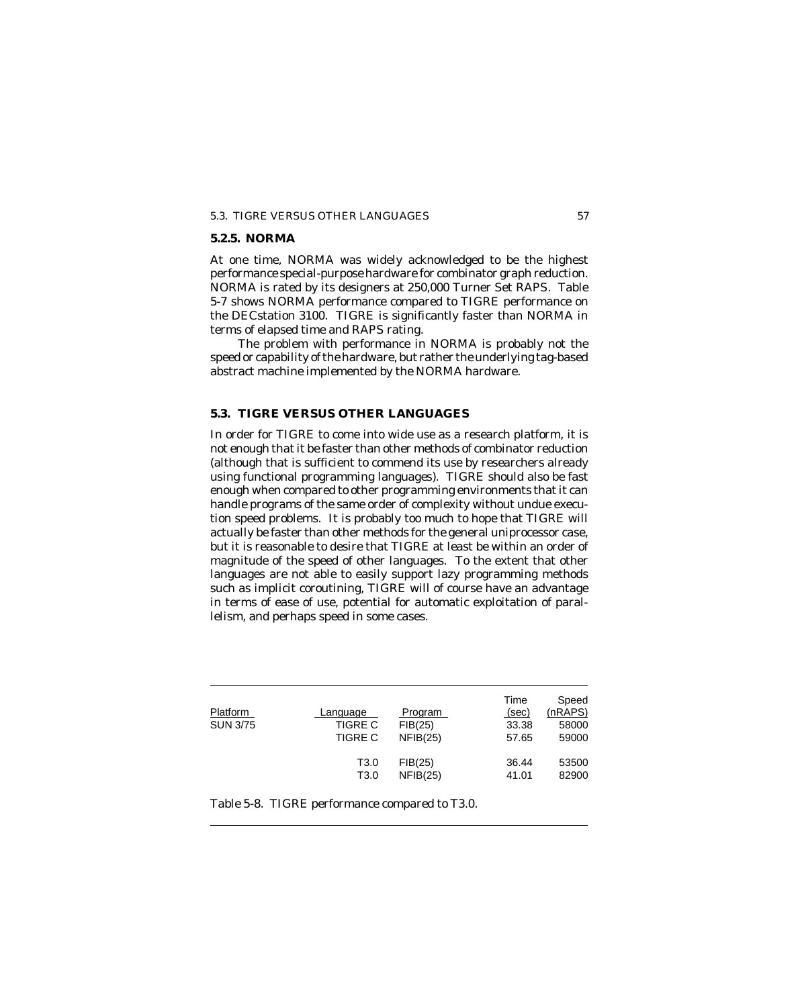# 5.3. TIGRE VERSUS OTHER LANGUAGES 57

# **5.2.5. NORMA**

At one time, NORMA was widely acknowledged to be the highest performance special-purpose hardware for combinator graph reduction. NORMA is rated by its designers at 250,000 Turner Set RAPS. Table 5-7 shows NORMA performance compared to TIGRE performance on the DECstation 3100. TIGRE is significantly faster than NORMA in terms of elapsed time and RAPS rating.

The problem with performance in NORMA is probably not the speed or capability of the hardware, but rather the underlying tag-based abstract machine implemented by the NORMA hardware.

# **5.3. TIGRE VERSUS OTHER LANGUAGES**

In order for TIGRE to come into wide use as a research platform, it is not enough that it be faster than other methods of combinator reduction (although that is sufficient to commend its use by researchers already using functional programming languages). TIGRE should also be fast enough when compared to other programming environments that it can handle programs of the same order of complexity without undue execution speed problems. It is probably too much to hope that TIGRE will actually be faster than other methods for the general uniprocessor case, but it is reasonable to desire that TIGRE at least be within an order of magnitude of the speed of other languages. To the extent that other languages are not able to easily support lazy programming methods such as implicit coroutining, TIGRE will of course have an advantage in terms of ease of use, potential for automatic exploitation of parallelism, and perhaps speed in some cases.

| Platform<br><b>SUN 3/75</b> | <u>Lanquaqe</u><br>TIGRE C<br><b>TIGRE C</b> | <b>Program</b><br>FIB(25)<br>NFIB(25) | Time<br>(sec)<br>33.38<br>57.65 | Speed<br>(nRAPS)<br>58000<br>59000 |
|-----------------------------|----------------------------------------------|---------------------------------------|---------------------------------|------------------------------------|
|                             | T3.0                                         | FIB(25)                               | 36.44                           | 53500                              |
|                             | T3.0                                         | NFIB(25)                              | 41.01                           | 82900                              |

Table 5-8. TIGRE performance compared to T3.0.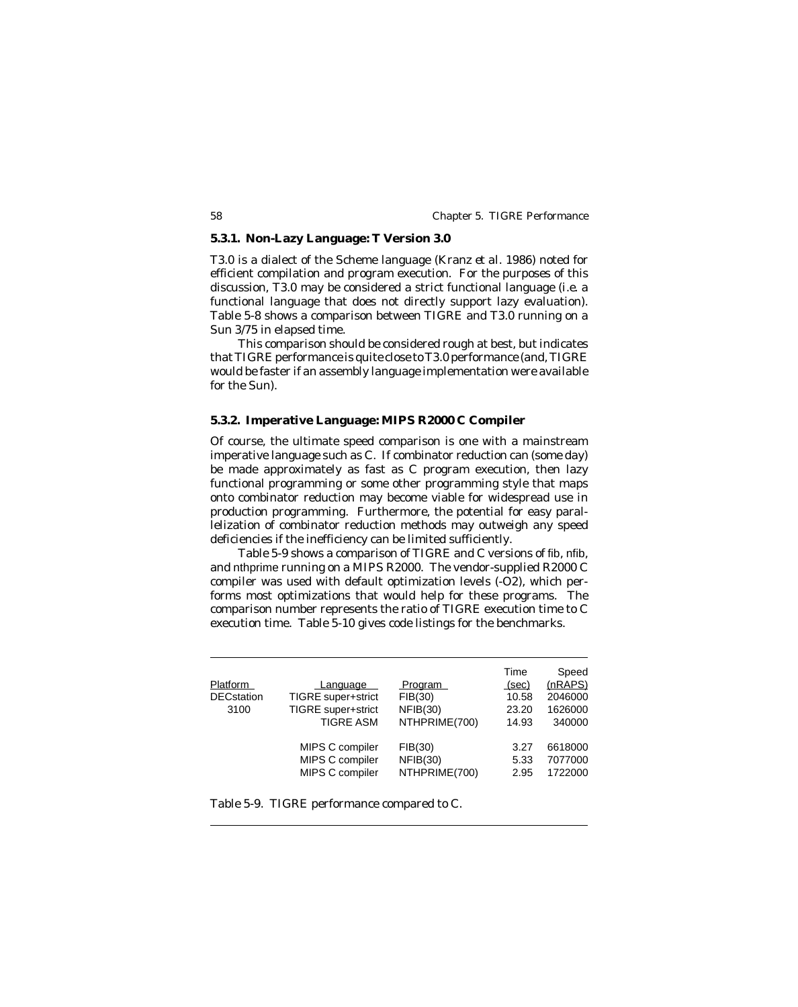# **5.3.1. Non-Lazy Language: T Version 3.0**

T3.0 is a dialect of the Scheme language (Kranz *et al.* 1986) noted for efficient compilation and program execution. For the purposes of this discussion, T3.0 may be considered a strict functional language (*i.e.* a functional language that does not directly support lazy evaluation). Table 5-8 shows a comparison between TIGRE and T3.0 running on a Sun 3/75 in elapsed time.

This comparison should be considered rough at best, but indicates that TIGRE performance is quite close to T3.0 performance (and, TIGRE would be faster if an assembly language implementation were available for the Sun).

# **5.3.2. Imperative Language: MIPS R2000 C Compiler**

Of course, the ultimate speed comparison is one with a mainstream imperative language such as C. If combinator reduction can (some day) be made approximately as fast as C program execution, then lazy functional programming or some other programming style that maps onto combinator reduction may become viable for widespread use in production programming. Furthermore, the potential for easy parallelization of combinator reduction methods may outweigh any speed deficiencies if the inefficiency can be limited sufficiently.

Table 5-9 shows a comparison of TIGRE and C versions of fib, nfib, and nthprime running on a MIPS R2000. The vendor-supplied R2000 C compiler was used with default optimization levels (-O2), which performs most optimizations that would help for these programs. The comparison number represents the ratio of TIGRE execution time to C execution time. Table 5-10 gives code listings for the benchmarks.

| <b>Platform</b><br><b>DECstation</b><br>3100 | Language<br>TIGRE super+strict<br>TIGRE super+strict<br><b>TIGRE ASM</b> | Program<br>FIB(30)<br>NFIB(30)<br>NTHPRIME(700) | Time<br>(sec)<br>10.58<br>23.20<br>14.93 | Speed<br>(nRAPS)<br>2046000<br>1626000<br>340000 |
|----------------------------------------------|--------------------------------------------------------------------------|-------------------------------------------------|------------------------------------------|--------------------------------------------------|
|                                              | MIPS C compiler                                                          | FIB(30)                                         | 3.27                                     | 6618000                                          |
|                                              | MIPS C compiler                                                          | NFIB(30)                                        | 5.33                                     | 7077000                                          |
|                                              | MIPS C compiler                                                          | NTHPRIME(700)                                   | 2.95                                     | 1722000                                          |

Table 5-9. TIGRE performance compared to C.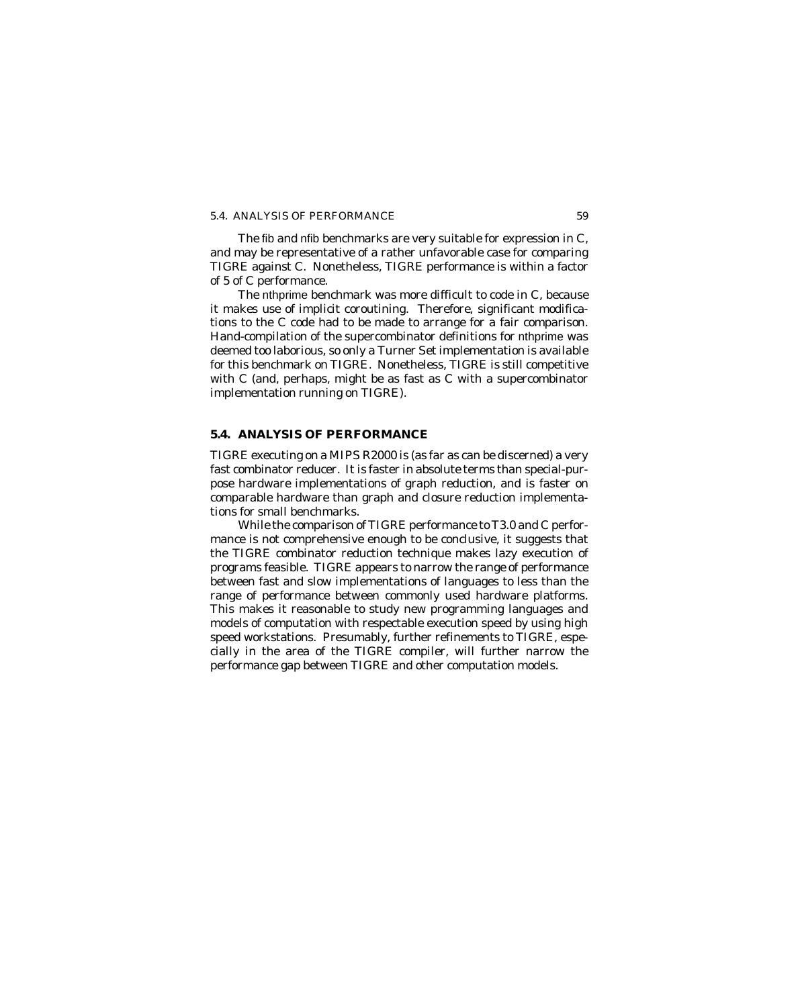# 5.4. ANALYSIS OF PERFORMANCE 59

The fib and nfib benchmarks are very suitable for expression in C, and may be representative of a rather unfavorable case for comparing TIGRE against C. Nonetheless, TIGRE performance is within a factor of 5 of C performance.

The nthprime benchmark was more difficult to code in C, because it makes use of implicit coroutining. Therefore, significant modifications to the C code had to be made to arrange for a fair comparison. Hand-compilation of the supercombinator definitions for nthprime was deemed too laborious, so only a Turner Set implementation is available for this benchmark on TIGRE. Nonetheless, TIGRE is still competitive with C (and, perhaps, might be as fast as C with a supercombinator implementation running on TIGRE).

# **5.4. ANALYSIS OF PERFORMANCE**

TIGRE executing on a MIPS R2000 is (as far as can be discerned) a very fast combinator reducer. It is faster in absolute terms than special-purpose hardware implementations of graph reduction, and is faster on comparable hardware than graph and closure reduction implementations for small benchmarks.

While the comparison of TIGRE performance to T3.0 and C performance is not comprehensive enough to be conclusive, it suggests that the TIGRE combinator reduction technique makes lazy execution of programs feasible. TIGRE appears to narrow the range of performance between fast and slow implementations of languages to less than the range of performance between commonly used hardware platforms. This makes it reasonable to study new programming languages and models of computation with respectable execution speed by using high speed workstations. Presumably, further refinements to TIGRE, especially in the area of the TIGRE compiler, will further narrow the performance gap between TIGRE and other computation models.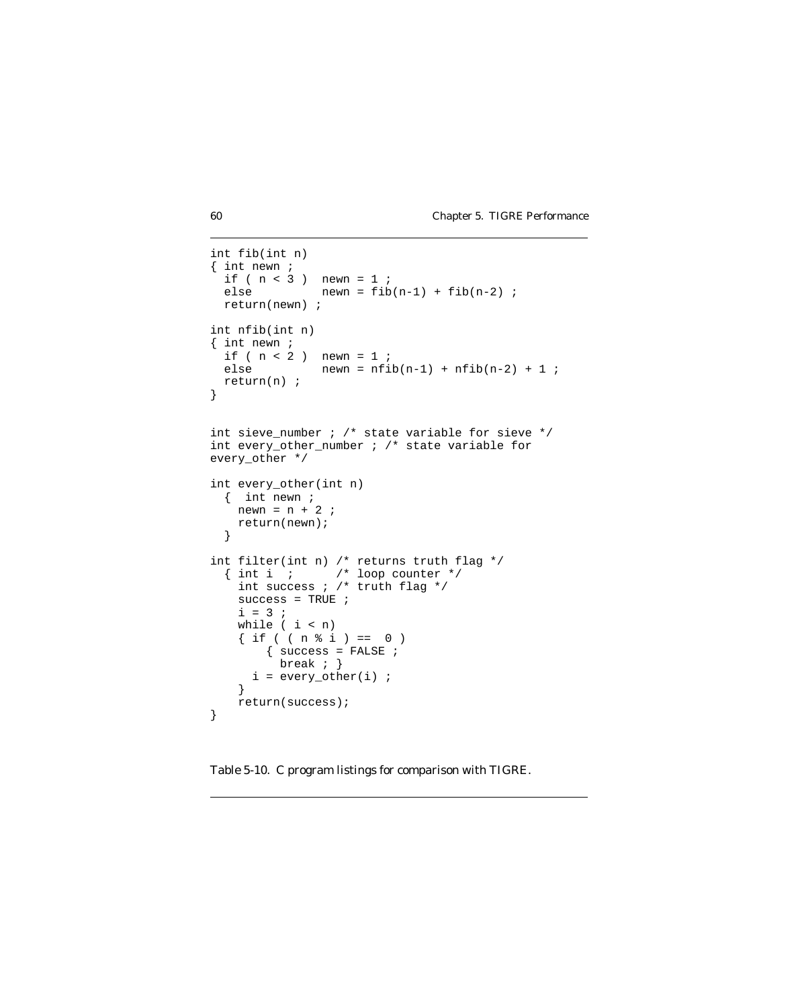```
int fib(int n)
{ int newn ;
 if ( n < 3 ) newn = 1 ;
 else newn = fib(n-1) + fib(n-2) ;
  return(newn) ;
int nfib(int n)
{ int newn ;
 if ( n < 2 ) newn = 1 ;
 else newn = nfib(n-1) + nfib(n-2) + 1;
  return(n) ;
}
int sieve_number ; /* state variable for sieve */
int every_other_number ; /* state variable for
every_other */
int every_other(int n)
  { int newn ;
   newn = n + 2 ;
    return(newn);
  }
int filter(int n) /* returns truth flag */
 { int i ; /* loop counter */
 int success ; /* truth flag */
    success = TRUE ;
   i = 3;
    while ( i < n)
    \{ if ( (n \& i) == 0 )\{ success = FALSE ;
          break ; }
     i = every\_other(i) ;
    }
    return(success);
}
```
Table 5-10. C program listings for comparison with TIGRE.